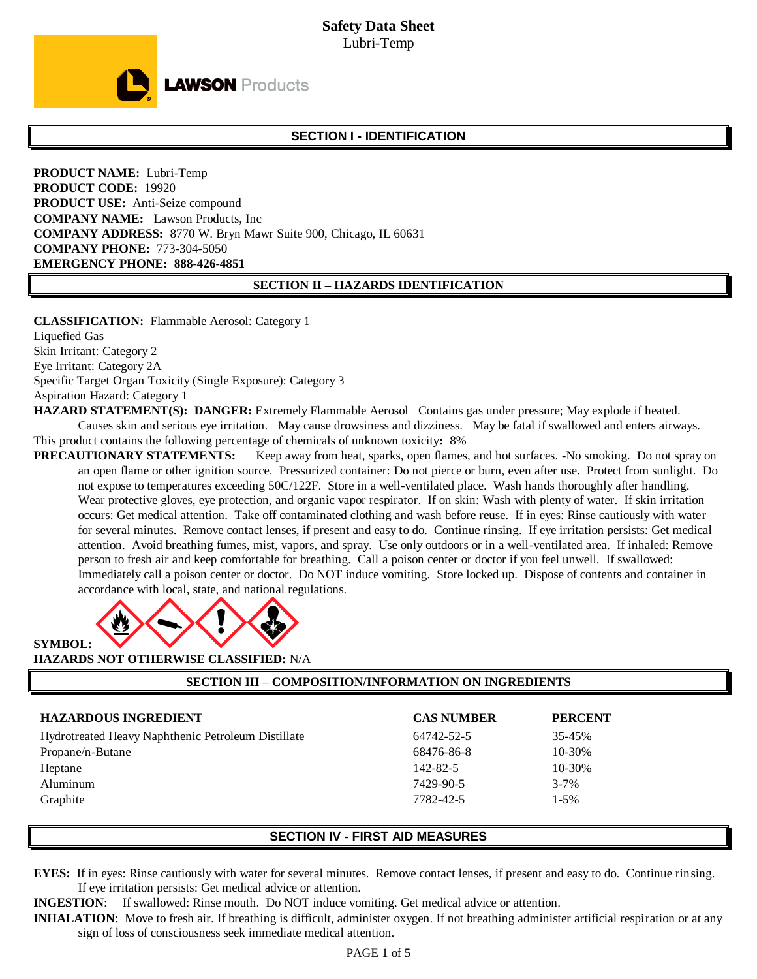

# **SECTION I - IDENTIFICATION**

**PRODUCT NAME:** Lubri-Temp **PRODUCT CODE:** 19920 **PRODUCT USE:** Anti-Seize compound **COMPANY NAME:** Lawson Products, Inc **COMPANY ADDRESS:** 8770 W. Bryn Mawr Suite 900, Chicago, IL 60631 **COMPANY PHONE:** 773-304-5050 **EMERGENCY PHONE: 888-426-4851**

#### **SECTION II – HAZARDS IDENTIFICATION**

**CLASSIFICATION:** Flammable Aerosol: Category 1 Liquefied Gas Skin Irritant: Category 2 Eye Irritant: Category 2A Specific Target Organ Toxicity (Single Exposure): Category 3 Aspiration Hazard: Category 1

**HAZARD STATEMENT(S): DANGER:** Extremely Flammable Aerosol Contains gas under pressure; May explode if heated.

Causes skin and serious eye irritation. May cause drowsiness and dizziness. May be fatal if swallowed and enters airways. This product contains the following percentage of chemicals of unknown toxicity**:** 8%

**PRECAUTIONARY STATEMENTS:** Keep away from heat, sparks, open flames, and hot surfaces. -No smoking. Do not spray on an open flame or other ignition source. Pressurized container: Do not pierce or burn, even after use. Protect from sunlight. Do not expose to temperatures exceeding 50C/122F. Store in a well-ventilated place. Wash hands thoroughly after handling. Wear protective gloves, eye protection, and organic vapor respirator. If on skin: Wash with plenty of water. If skin irritation occurs: Get medical attention. Take off contaminated clothing and wash before reuse. If in eyes: Rinse cautiously with water for several minutes. Remove contact lenses, if present and easy to do. Continue rinsing. If eye irritation persists: Get medical attention. Avoid breathing fumes, mist, vapors, and spray. Use only outdoors or in a well-ventilated area. If inhaled: Remove person to fresh air and keep comfortable for breathing. Call a poison center or doctor if you feel unwell. If swallowed: Immediately call a poison center or doctor. Do NOT induce vomiting. Store locked up. Dispose of contents and container in accordance with local, state, and national regulations.



**HAZARDS NOT OTHERWISE CLASSIFIED:** N/A

**SECTION III – COMPOSITION/INFORMATION ON INGREDIENTS**

| <b>HAZARDOUS INGREDIENT</b>                        | <b>CAS NUMBER</b> | <b>PERCENT</b> |
|----------------------------------------------------|-------------------|----------------|
| Hydrotreated Heavy Naphthenic Petroleum Distillate | 64742-52-5        | 35-45%         |
| Propane/n-Butane                                   | 68476-86-8        | $10 - 30%$     |
| Heptane                                            | 142-82-5          | $10 - 30%$     |
| Aluminum                                           | 7429-90-5         | $3 - 7\%$      |
| Graphite                                           | 7782-42-5         | $1 - 5\%$      |

## **SECTION IV - FIRST AID MEASURES**

**EYES:** If in eyes: Rinse cautiously with water for several minutes. Remove contact lenses, if present and easy to do. Continue rinsing. If eye irritation persists: Get medical advice or attention.

**INGESTION**: If swallowed: Rinse mouth. Do NOT induce vomiting. Get medical advice or attention.

**INHALATION:** Move to fresh air. If breathing is difficult, administer oxygen. If not breathing administer artificial respiration or at any sign of loss of consciousness seek immediate medical attention.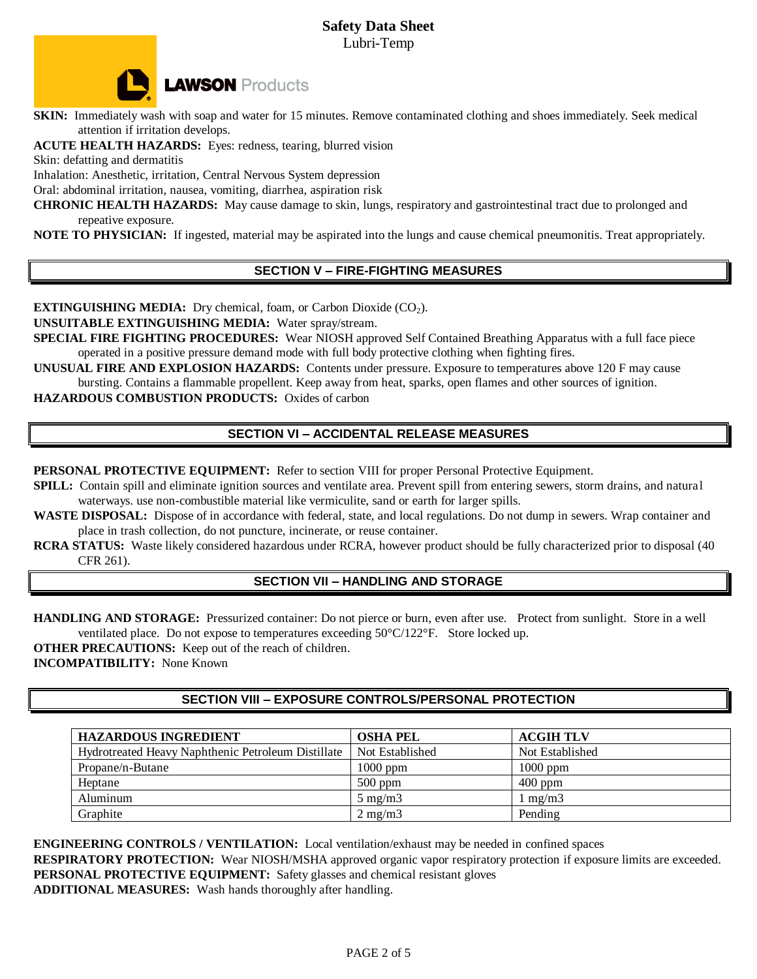# **Safety Data Sheet** Lubri-Temp



**SKIN:** Immediately wash with soap and water for 15 minutes. Remove contaminated clothing and shoes immediately. Seek medical attention if irritation develops.

**ACUTE HEALTH HAZARDS:** Eyes: redness, tearing, blurred vision

Skin: defatting and dermatitis

Inhalation: Anesthetic, irritation, Central Nervous System depression

Oral: abdominal irritation, nausea, vomiting, diarrhea, aspiration risk

**CHRONIC HEALTH HAZARDS:** May cause damage to skin, lungs, respiratory and gastrointestinal tract due to prolonged and repeative exposure.

**NOTE TO PHYSICIAN:** If ingested, material may be aspirated into the lungs and cause chemical pneumonitis. Treat appropriately.

# **SECTION V – FIRE-FIGHTING MEASURES**

**EXTINGUISHING MEDIA:** Dry chemical, foam, or Carbon Dioxide (CO<sub>2</sub>).

**UNSUITABLE EXTINGUISHING MEDIA:** Water spray/stream.

**SPECIAL FIRE FIGHTING PROCEDURES:** Wear NIOSH approved Self Contained Breathing Apparatus with a full face piece operated in a positive pressure demand mode with full body protective clothing when fighting fires.

**UNUSUAL FIRE AND EXPLOSION HAZARDS:** Contents under pressure. Exposure to temperatures above 120 F may cause bursting. Contains a flammable propellent. Keep away from heat, sparks, open flames and other sources of ignition.

**HAZARDOUS COMBUSTION PRODUCTS:** Oxides of carbon

# **SECTION VI – ACCIDENTAL RELEASE MEASURES**

**PERSONAL PROTECTIVE EQUIPMENT:** Refer to section VIII for proper Personal Protective Equipment.

**SPILL:** Contain spill and eliminate ignition sources and ventilate area. Prevent spill from entering sewers, storm drains, and natural waterways. use non-combustible material like vermiculite, sand or earth for larger spills.

**WASTE DISPOSAL:** Dispose of in accordance with federal, state, and local regulations. Do not dump in sewers. Wrap container and place in trash collection, do not puncture, incinerate, or reuse container.

**RCRA STATUS:** Waste likely considered hazardous under RCRA, however product should be fully characterized prior to disposal (40 CFR 261).

# **SECTION VII – HANDLING AND STORAGE**

**HANDLING AND STORAGE:** Pressurized container: Do not pierce or burn, even after use. Protect from sunlight. Store in a well ventilated place. Do not expose to temperatures exceeding 50°C/122°F. Store locked up.

**OTHER PRECAUTIONS:** Keep out of the reach of children.

**INCOMPATIBILITY:** None Known

# **SECTION VIII – EXPOSURE CONTROLS/PERSONAL PROTECTION**

| <b>HAZARDOUS INGREDIENT</b>                        | <b>OSHA PEL</b>  | <b>ACGIH TLV</b> |
|----------------------------------------------------|------------------|------------------|
| Hydrotreated Heavy Naphthenic Petroleum Distillate | Not Established  | Not Established  |
| Propane/n-Butane                                   | $1000$ ppm       | $1000$ ppm       |
| Heptane                                            | $500$ ppm        | $400$ ppm        |
| Aluminum                                           | $5 \text{ mg/m}$ | mg/m3            |
| Graphite                                           | $2 \text{ mg/m}$ | Pending          |

**ENGINEERING CONTROLS / VENTILATION:** Local ventilation/exhaust may be needed in confined spaces **RESPIRATORY PROTECTION:** Wear NIOSH/MSHA approved organic vapor respiratory protection if exposure limits are exceeded. **PERSONAL PROTECTIVE EQUIPMENT:** Safety glasses and chemical resistant gloves **ADDITIONAL MEASURES:** Wash hands thoroughly after handling.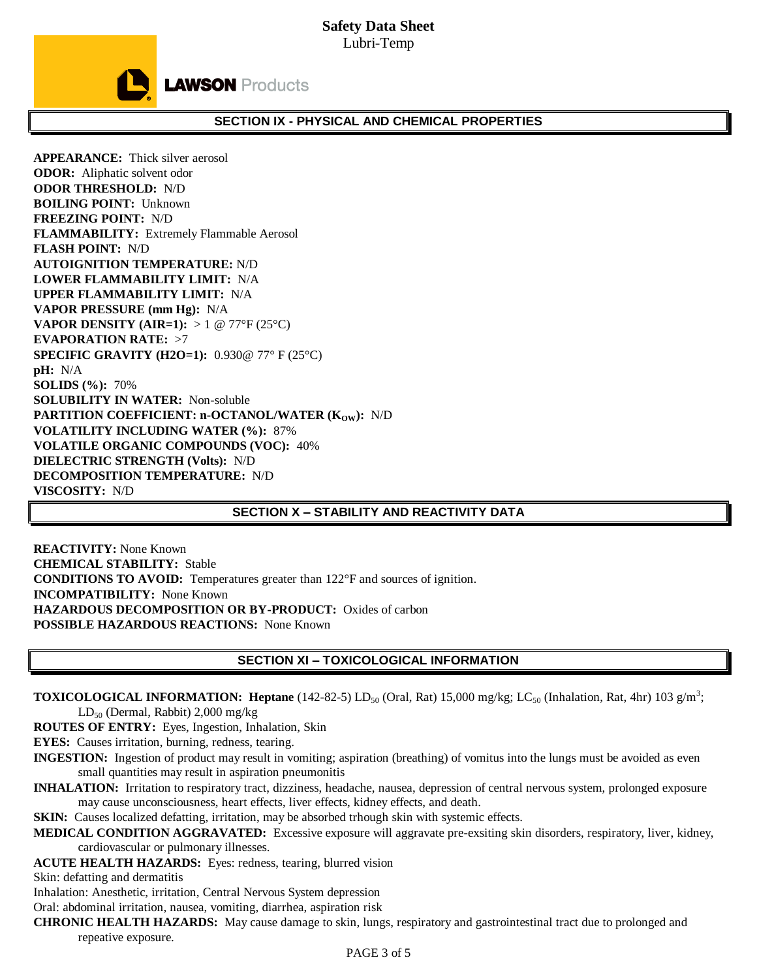# **Safety Data Sheet** Lubri-Temp



## **SECTION IX - PHYSICAL AND CHEMICAL PROPERTIES**

**APPEARANCE:** Thick silver aerosol **ODOR:** Aliphatic solvent odor **ODOR THRESHOLD:** N/D **BOILING POINT:** Unknown **FREEZING POINT:** N/D **FLAMMABILITY:** Extremely Flammable Aerosol **FLASH POINT:** N/D **AUTOIGNITION TEMPERATURE:** N/D **LOWER FLAMMABILITY LIMIT:** N/A **UPPER FLAMMABILITY LIMIT:** N/A **VAPOR PRESSURE (mm Hg):** N/A **VAPOR DENSITY (AIR=1):** > 1 @ 77°F (25°C) **EVAPORATION RATE:** >7 **SPECIFIC GRAVITY (H2O=1):** 0.930@ 77° F (25°C) **pH:** N/A **SOLIDS (%):** 70% **SOLUBILITY IN WATER:** Non-soluble **PARTITION COEFFICIENT: n-OCTANOL/WATER (K<sub>OW</sub>): N/D VOLATILITY INCLUDING WATER (%):** 87% **VOLATILE ORGANIC COMPOUNDS (VOC):** 40% **DIELECTRIC STRENGTH (Volts):** N/D **DECOMPOSITION TEMPERATURE:** N/D **VISCOSITY:** N/D

### **SECTION X – STABILITY AND REACTIVITY DATA**

**REACTIVITY:** None Known **CHEMICAL STABILITY:** Stable **CONDITIONS TO AVOID:** Temperatures greater than 122°F and sources of ignition. **INCOMPATIBILITY:** None Known **HAZARDOUS DECOMPOSITION OR BY-PRODUCT:** Oxides of carbon **POSSIBLE HAZARDOUS REACTIONS:** None Known

## **SECTION XI – TOXICOLOGICAL INFORMATION**

**TOXICOLOGICAL INFORMATION: Heptane** (142-82-5)  $LD_{50}$  (Oral, Rat) 15,000 mg/kg;  $LC_{50}$  (Inhalation, Rat, 4hr) 103 g/m<sup>3</sup>; LD<sub>50</sub> (Dermal, Rabbit) 2,000 mg/kg

**ROUTES OF ENTRY:** Eyes, Ingestion, Inhalation, Skin

**EYES:** Causes irritation, burning, redness, tearing.

- **INGESTION:** Ingestion of product may result in vomiting; aspiration (breathing) of vomitus into the lungs must be avoided as even small quantities may result in aspiration pneumonitis
- **INHALATION:** Irritation to respiratory tract, dizziness, headache, nausea, depression of central nervous system, prolonged exposure may cause unconsciousness, heart effects, liver effects, kidney effects, and death.

**SKIN:** Causes localized defatting, irritation, may be absorbed trhough skin with systemic effects.

- **MEDICAL CONDITION AGGRAVATED:** Excessive exposure will aggravate pre-exsiting skin disorders, respiratory, liver, kidney, cardiovascular or pulmonary illnesses.
- **ACUTE HEALTH HAZARDS:** Eyes: redness, tearing, blurred vision

Skin: defatting and dermatitis

Inhalation: Anesthetic, irritation, Central Nervous System depression

Oral: abdominal irritation, nausea, vomiting, diarrhea, aspiration risk

**CHRONIC HEALTH HAZARDS:** May cause damage to skin, lungs, respiratory and gastrointestinal tract due to prolonged and repeative exposure.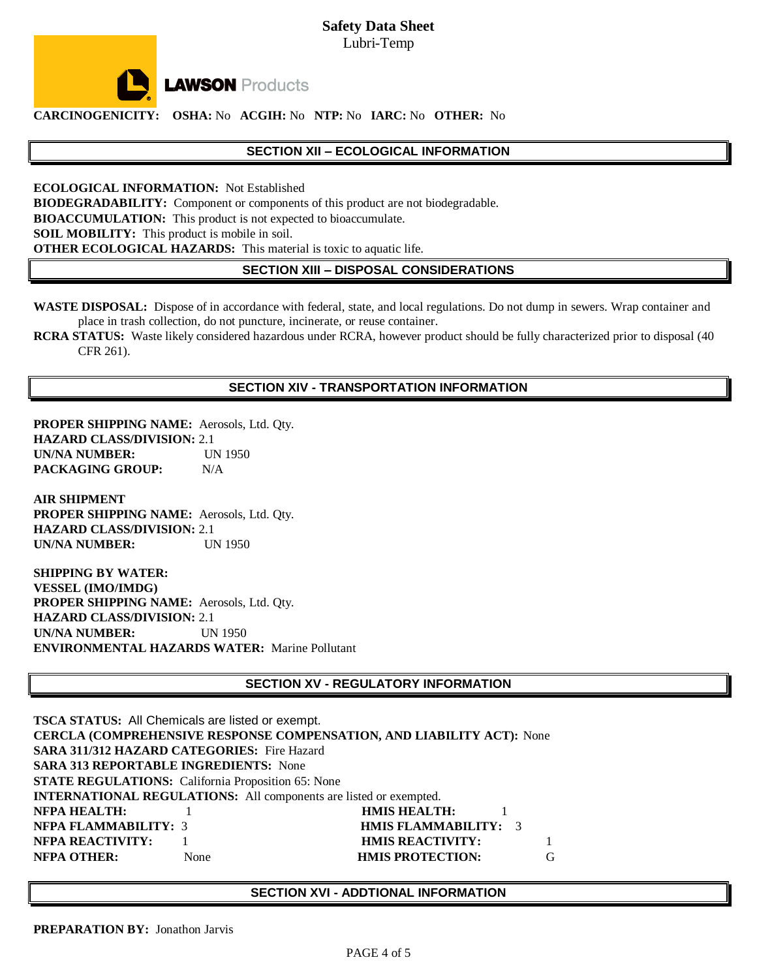**Safety Data Sheet** Lubri-Temp



**LAWSON** Products

**CARCINOGENICITY: OSHA:** No **ACGIH:** No **NTP:** No **IARC:** No **OTHER:** No

### **SECTION XII – ECOLOGICAL INFORMATION**

**ECOLOGICAL INFORMATION:** Not Established **BIODEGRADABILITY:** Component or components of this product are not biodegradable. **BIOACCUMULATION:** This product is not expected to bioaccumulate. **SOIL MOBILITY:** This product is mobile in soil. **OTHER ECOLOGICAL HAZARDS:** This material is toxic to aquatic life.

**SECTION XIII – DISPOSAL CONSIDERATIONS**

**WASTE DISPOSAL:** Dispose of in accordance with federal, state, and local regulations. Do not dump in sewers. Wrap container and place in trash collection, do not puncture, incinerate, or reuse container.

**RCRA STATUS:** Waste likely considered hazardous under RCRA, however product should be fully characterized prior to disposal (40 CFR 261).

## **SECTION XIV - TRANSPORTATION INFORMATION**

**PROPER SHIPPING NAME:** Aerosols, Ltd. Qty. **HAZARD CLASS/DIVISION:** 2.1 **UN/NA NUMBER:** UN 1950 **PACKAGING GROUP:** N/A

**AIR SHIPMENT PROPER SHIPPING NAME:** Aerosols, Ltd. Qty. **HAZARD CLASS/DIVISION:** 2.1 **UN/NA NUMBER:** UN 1950

**SHIPPING BY WATER: VESSEL (IMO/IMDG) PROPER SHIPPING NAME:** Aerosols, Ltd. Qty. **HAZARD CLASS/DIVISION:** 2.1 **UN/NA NUMBER:** UN 1950 **ENVIRONMENTAL HAZARDS WATER:** Marine Pollutant

## **SECTION XV - REGULATORY INFORMATION**

**TSCA STATUS:** All Chemicals are listed or exempt. **CERCLA (COMPREHENSIVE RESPONSE COMPENSATION, AND LIABILITY ACT):** None **SARA 311/312 HAZARD CATEGORIES:** Fire Hazard **SARA 313 REPORTABLE INGREDIENTS:** None **STATE REGULATIONS:** California Proposition 65: None **INTERNATIONAL REGULATIONS:** All components are listed or exempted. **NFPA HEALTH:** 1 **HMIS HEALTH:** 1 **NFPA FLAMMABILITY:** 3 **HMIS FLAMMABILITY:** 3 **NFPA REACTIVITY:** 1 **HMIS REACTIVITY:** 1 **NFPA OTHER:** None **HMIS PROTECTION:** G

### **SECTION XVI - ADDTIONAL INFORMATION**